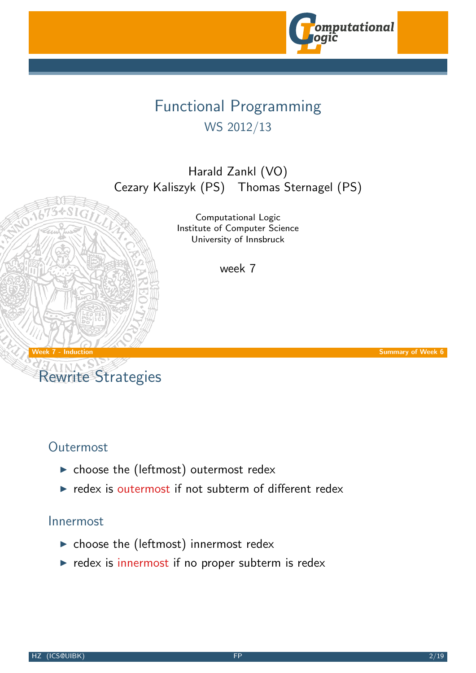

# Functional Programming WS 2012/13

Harald Zankl (VO) Cezary Kaliszyk (PS) Thomas Sternagel (PS)

> Computational Logic Institute of Computer Science University of Innsbruck

> > week 7

Week 7 - Induction Summary of Week 6

# Rewrite Strategies

### Outermost

- $\blacktriangleright$  choose the (leftmos[t\) outermost re](http://cl-informatik.uibk.ac.at)dex
- $\blacktriangleright$  redex is outermost if not subterm of different redex

#### Innermost

- $\blacktriangleright$  choose the (leftmost) innermost redex
- $\triangleright$  redex is innermost if no proper subterm is redex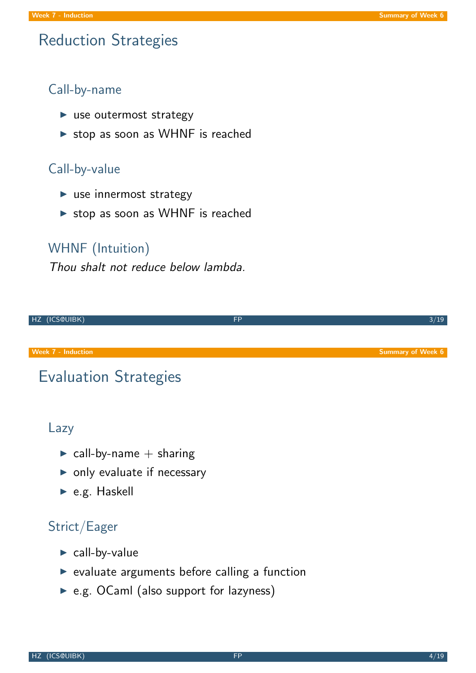### Reduction Strategies

#### Call-by-name

- $\blacktriangleright$  use outermost strategy
- $\triangleright$  stop as soon as WHNF is reached

#### Call-by-value

- $\blacktriangleright$  use innermost strategy
- $\triangleright$  stop as soon as WHNF is reached

#### WHNF (Intuition)

Thou shalt not reduce below lambda.



# Evaluation Strategies

#### Lazy

- $\triangleright$  call-by-name  $+$  sharing
- $\triangleright$  only evaluate if necessary
- $\blacktriangleright$  e.g. Haskell

### Strict/Eager

- $\blacktriangleright$  call-by-value
- $\triangleright$  evaluate arguments before calling a function
- $\triangleright$  e.g. OCaml (also support for lazyness)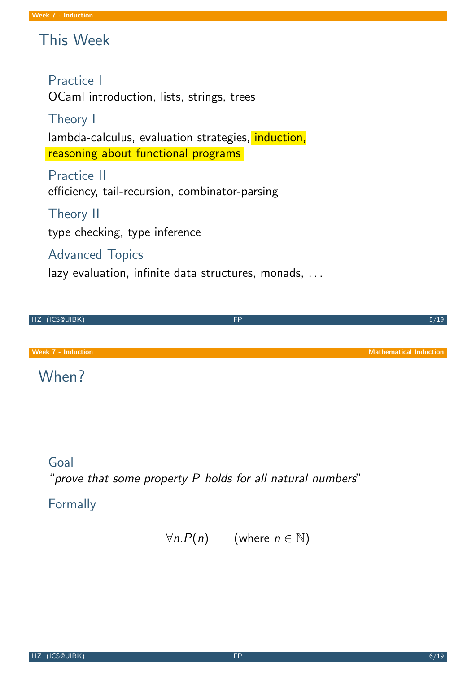# This Week

#### Practice I

OCaml introduction, lists, strings, trees

### Theory I

lambda-calculus, evaluation strategies, induction, reasoning about functional programs

Practice II efficiency, tail-recursion, combinator-parsing

### Theory II

type checking, type inference

### Advanced Topics

lazy evaluation, infinite data structures, monads, ...

HZ (ICS@UIBK) 5/19 Week 7 - Induction Mathematical Induction Mathematical Induction Mathematical Induction

## When?

### Goal

"prove that some property P holds for all natural numbers"

### Formally

 $\forall n. P(n)$  (where  $n \in \mathbb{N}$ )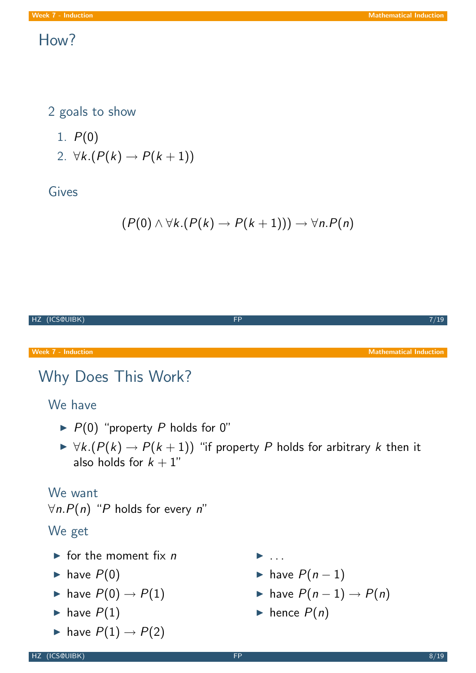### How?

2 goals to show

- 1.  $P(0)$
- 2.  $\forall k.(P(k) \rightarrow P(k+1))$

### Gives

$$
(P(0) \land \forall k.(P(k) \rightarrow P(k+1))) \rightarrow \forall n.P(n)
$$

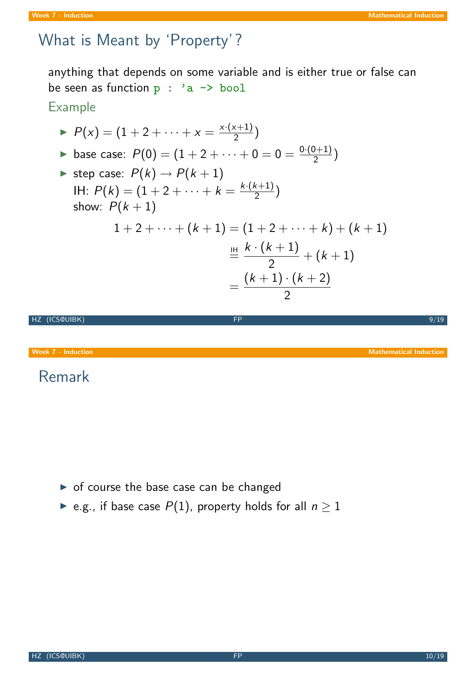# What is Meant by 'Property'?

anything that depends on some variable and is either true or false can be seen as function  $p : 'a \rightarrow bool$ 

### Example

► 
$$
P(x) = (1 + 2 + \dots + x = \frac{x \cdot (x+1)}{2})
$$
  
\n► base case:  $P(0) = (1 + 2 + \dots + 0 = 0 = \frac{0 \cdot (0+1)}{2})$   
\n⇒ step case:  $P(k) \rightarrow P(k+1)$   
\n|H:  $P(k) = (1 + 2 + \dots + k = \frac{k \cdot (k+1)}{2})$   
\nshow:  $P(k+1)$   
\n $1 + 2 + \dots + (k+1) = (1 + 2 + \dots + k) + (k+1)$   
\n $\stackrel{\text{III}}{=} \frac{k \cdot (k+1)}{2} + (k+1)$   
\n $= \frac{(k+1) \cdot (k+2)}{2}$ 

HZ (ICS@UIBK) 9/19

Week 7 - Induction Mathematical Induction Mathematical Induction

## Remark

- $\triangleright$  of course the base case can be changed
- ► e.g., if base case  $P(1)$ , property holds for all  $n \ge 1$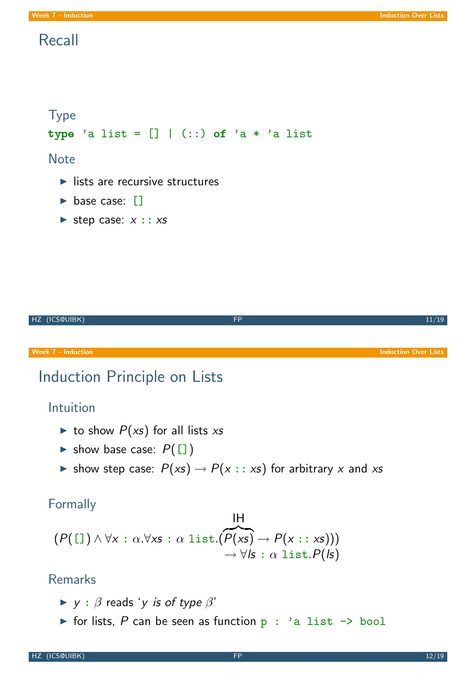#### **Week 7 - Induction Induction Induction Induction Induction Over Lists**

### Recall

```
Type
type 'a list = [] | (::) of 'a * 'a list
Note
  \blacktriangleright lists are recursive structures
  \triangleright base case: []\blacktriangleright step case: x :: xs
```

| HZ (ICS@UIBK)                                                                                   | <b>FP</b>                                          | 11/19                       |
|-------------------------------------------------------------------------------------------------|----------------------------------------------------|-----------------------------|
| <b>Week 7 - Induction</b>                                                                       |                                                    | <b>Induction Over Lists</b> |
| Induction Principle on Lists                                                                    |                                                    |                             |
| Intuition                                                                                       |                                                    |                             |
| ighthroupour $P(xs)$ for all lists xs                                                           |                                                    |                             |
| ightharpoonup show base case: $P([$ ]                                                           |                                                    |                             |
| ightharpoonup show step case: $P(xs) \rightarrow P(x::xs)$ for arbitrary x and xs               |                                                    |                             |
| Formally                                                                                        | IН                                                 |                             |
| $(P([1]) \wedge \forall x : \alpha.\forall x s : \alpha list.(P(xs) \rightarrow P(x : : x s)))$ |                                                    |                             |
|                                                                                                 | $\rightarrow \forall$ /s : $\alpha$ list. $P($ /s) |                             |

### Remarks

- $\blacktriangleright$  y :  $\beta$  reads 'y is of type  $\beta'$
- $\triangleright$  for lists, P can be seen as function p : 'a list  $\rightarrow$  bool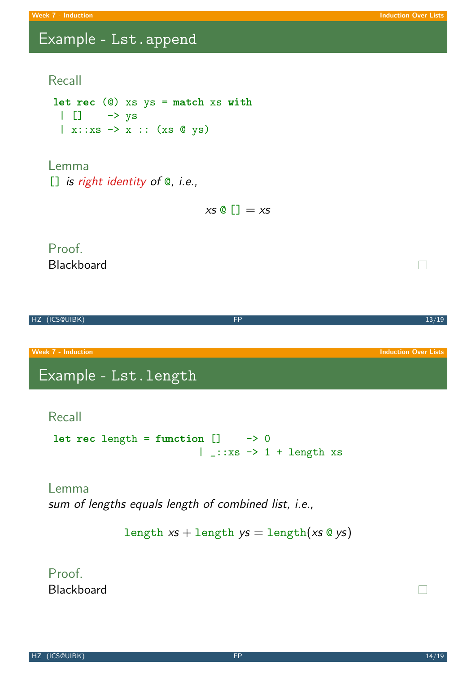$\Box$ 

### Example - Lst.append

#### Recall

let rec  $(0)$  xs ys = match xs with  $\begin{array}{ccc} \vert & \vert \end{array}$   $\rightarrow$  ys  $| x:ixs \rightarrow x :: (xs \&ys)$ 

Lemma [] is right identity of @, i.e.,

 $x s @$   $\Box = x s$ 

#### Proof. Blackboard



#### Recall

```
let rec length = function [] \t - > 0| _::xs \rightarrow 1 + length xs
```
#### Lemma

sum of lengths equals length of combined list, i.e.,

```
length xs + \text{length } ys = \text{length}(xs \circ ys)
```
Proof. Blackboard

 $\Box$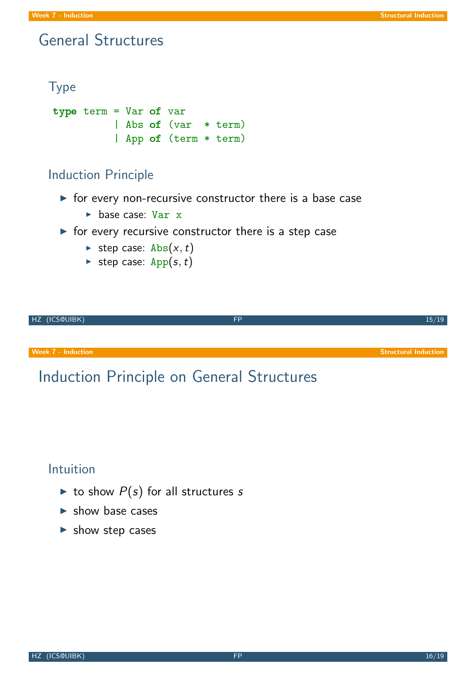### General Structures

```
Type
type term = Var of var
           | Abs of (var * term)
           | App of (term * term)
```
### Induction Principle

- $\triangleright$  for every non-recursive constructor there is a base case
	- $\blacktriangleright$  base case: Var x
- $\triangleright$  for every recursive constructor there is a step case
	- ightharpoonup step case: Abs $(x, t)$
	- ightharpoonup step case:  $App(s, t)$



#### Intuition

- ightharpoonup to show  $P(s)$  for all structures s
- $\blacktriangleright$  show base cases
- $\blacktriangleright$  show step cases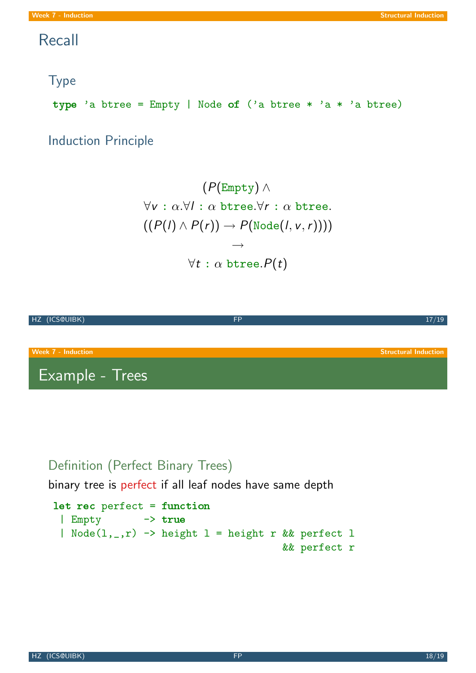### Recall

### Type

type 'a btree = Empty | Node of ('a btree \* 'a \* 'a btree)

Induction Principle

$$
(\mathsf{P}(\mathsf{Empty}) \land \newline \forall \mathsf{v}: \alpha.\forall \mathsf{I}: \alpha \mathrel{\mathtt{btree}}.\forall \mathsf{r}: \alpha \mathrel{\mathtt{btree}}. \newline ((\mathsf{P}(\mathsf{I}) \land \mathsf{P}(\mathsf{r})) \rightarrow \mathsf{P}(\mathsf{Node}(\mathsf{I}, \mathsf{v}, \mathsf{r})))) \rightarrow \\ \neg \newline \forall \mathsf{t}: \alpha \mathrel{\mathtt{btree}}. \mathsf{P}(\mathsf{t})
$$



### Definition (Perfect Binary Trees)

binary tree is perfect if all leaf nodes have same depth

```
let rec perfect = function
 | Empty -> true
 | Node(1, _-, r) \rightarrow height l = height r && perfect l
                                         && perfect r
```